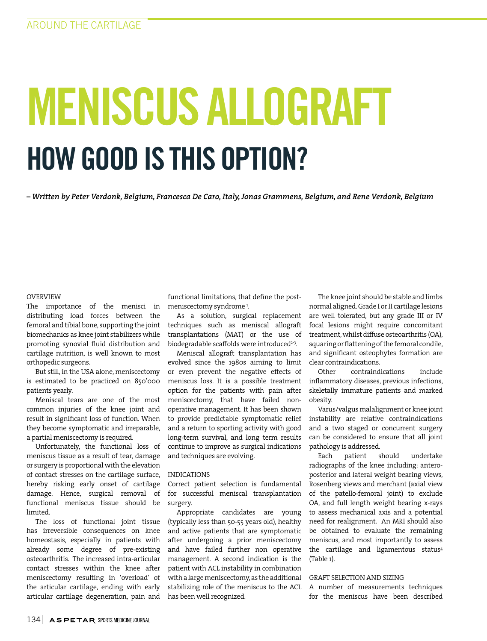# MENISCUS ALLOGRAFT HOW GOOD IS THIS OPTION?

*– Written by Peter Verdonk, Belgium, Francesca De Caro, Italy, Jonas Grammens, Belgium, and Rene Verdonk, Belgium*

## OVERVIEW

The importance of the menisci in distributing load forces between the femoral and tibial bone, supporting the joint biomechanics as knee joint stabilizers while promoting synovial fluid distribution and cartilage nutrition, is well known to most orthopedic surgeons.

But still, in the USA alone, meniscectomy is estimated to be practiced on 850'000 patients yearly.

Meniscal tears are one of the most common injuries of the knee joint and result in significant loss of function. When they become symptomatic and irreparable, a partial meniscectomy is required.

Unfortunately, the functional loss of meniscus tissue as a result of tear, damage or surgery is proportional with the elevation of contact stresses on the cartilage surface, hereby risking early onset of cartilage damage. Hence, surgical removal of functional meniscus tissue should be limited.

The loss of functional joint tissue has irreversible consequences on knee homeostasis, especially in patients with already some degree of pre-existing osteoarthritis. The increased intra-articular contact stresses within the knee after meniscectomy resulting in 'overload' of the articular cartilage, ending with early articular cartilage degeneration, pain and

functional limitations, that define the postmeniscectomy syndrome 1 .

As a solution, surgical replacement techniques such as meniscal allograft transplantations (MAT) or the use of biodegradable scaffolds were introduced<sup>2-3</sup>.

Meniscal allograft transplantation has evolved since the 1980s aiming to limit or even prevent the negative effects of meniscus loss. It is a possible treatment option for the patients with pain after meniscectomy, that have failed nonoperative management. It has been shown to provide predictable symptomatic relief and a return to sporting activity with good long-term survival, and long term results continue to improve as surgical indications and techniques are evolving.

#### INDICATIONS

Correct patient selection is fundamental for successful meniscal transplantation surgery.

Appropriate candidates are young (typically less than 50-55 years old), healthy and active patients that are symptomatic after undergoing a prior meniscectomy and have failed further non operative management. A second indication is the patient with ACL instability in combination with a large meniscectomy, as the additional stabilizing role of the meniscus to the ACL has been well recognized.

The knee joint should be stable and limbs normal aligned. Grade I or II cartilage lesions are well tolerated, but any grade III or IV focal lesions might require concomitant treatment, whilst diffuse osteoarthritis (OA), squaring or flattening of the femoral condile, and significant osteophytes formation are clear contraindications.

Other contraindications include inflammatory diseases, previous infections, skeletally immature patients and marked obesity.

Varus/valgus malalignment or knee joint instability are relative contraindications and a two staged or concurrent surgery can be considered to ensure that all joint pathology is addressed.

Each patient should undertake radiographs of the knee including: anteroposterior and lateral weight bearing views, Rosenberg views and merchant (axial view of the patello-femoral joint) to exclude OA, and full length weight bearing x-rays to assess mechanical axis and a potential need for realignment. An MRI should also be obtained to evaluate the remaining meniscus, and most importantly to assess the cartilage and ligamentous status<sup>4</sup> (Table 1).

#### GRAFT SELECTION AND SIZING

A number of measurements techniques for the meniscus have been described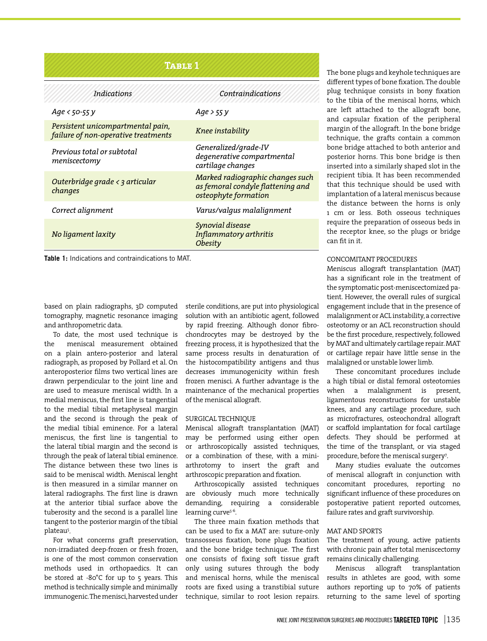| <b>TABLE 1</b>                                                           |                                                                                               |
|--------------------------------------------------------------------------|-----------------------------------------------------------------------------------------------|
| <b>Indications</b>                                                       | Contraindications                                                                             |
| Age < 50-55 y                                                            | $Age$ > 55 $V$                                                                                |
| Persistent unicompartmental pain,<br>failure of non-operative treatments | Knee instability                                                                              |
| Previous total or subtotal<br>meniscectomy                               | Generalized/grade-IV<br>degenerative compartmental<br>cartilage changes                       |
| Outerbridge grade $\langle$ 3 articular<br>changes                       | Marked radiographic changes such<br>as femoral condyle flattening and<br>osteophyte formation |
| Correct alignment                                                        | Varus/valqus malalignment                                                                     |
| No ligament laxity                                                       | Synovial disease<br>Inflammatory arthritis<br>Obesity                                         |

**Table 1:** Indications and contraindications to MAT.

based on plain radiographs, 3D computed tomography, magnetic resonance imaging and anthropometric data.

To date, the most used technique is the meniscal measurement obtained on a plain antero-posterior and lateral radiograph, as proposed by Pollard et al. On anteroposterior films two vertical lines are drawn perpendicular to the joint line and are used to measure meniscal width. In a medial meniscus, the first line is tangential to the medial tibial metaphyseal margin and the second is through the peak of the medial tibial eminence. For a lateral meniscus, the first line is tangential to the lateral tibial margin and the second is through the peak of lateral tibial eminence. The distance between these two lines is said to be meniscal width. Meniscal lenght is then measured in a similar manner on lateral radiographs. The first line is drawn at the anterior tibial surface above the tuberosity and the second is a parallel line tangent to the posterior margin of the tibial plateau<sup>5</sup>.

For what concerns graft preservation, non-irradiated deep-frozen or fresh frozen, is one of the most common conservation methods used in orthopaedics. It can be stored at -80°C for up to 5 years. This method is technically simple and minimally immunogenic. The menisci, harvested under

sterile conditions, are put into physiological solution with an antibiotic agent, followed by rapid freezing. Although donor fibrochondrocytes may be destroyed by the freezing process, it is hypothesized that the same process results in denaturation of the histocompatibility antigens and thus decreases immunogenicity within fresh frozen menisci. A further advantage is the maintenance of the mechanical properties of the meniscal allograft.

#### SURGICAL TECHNIQUE

Meniscal allograft transplantation (MAT) may be performed using either open or arthroscopically assisted techniques, or a combination of these, with a miniarthrotomy to insert the graft and arthroscopic preparation and fixation.

Arthroscopically assisted techniques are obviously much more technically demanding, requiring a considerable learning curve<sup>5-6</sup>.

The three main fixation methods that can be used to fix a MAT are: suture-only transosseus fixation, bone plugs fixation and the bone bridge technique. The first one consists of fixing soft tissue graft only using sutures through the body and meniscal horns, while the meniscal roots are fixed using a transtibial suture technique, similar to root lesion repairs.

The bone plugs and keyhole techniques are different types of bone fixation. The double plug technique consists in bony fixation to the tibia of the meniscal horns, which are left attached to the allograft bone, and capsular fixation of the peripheral margin of the allograft. In the bone bridge technique, the grafts contain a common bone bridge attached to both anterior and posterior horns. This bone bridge is then inserted into a similarly shaped slot in the recipient tibia. It has been recommended that this technique should be used with implantation of a lateral meniscus because the distance between the horns is only 1 cm or less. Both osseous techniques require the preparation of osseous beds in the receptor knee, so the plugs or bridge can fit in it.

# CONCOMITANT PROCEDURES

Meniscus allograft transplantation (MAT) has a significant role in the treatment of the symptomatic post-meniscectomized patient. However, the overall rules of surgical engagement include that in the presence of malalignment or ACL instability, a corrective osteotomy or an ACL reconstruction should be the first procedure, respectively, followed by MAT and ultimately cartilage repair. MAT or cartilage repair have little sense in the malaligned or unstable lower limb.

These concomitant procedures include a high tibial or distal femoral osteotomies when a malalignment is present, ligamentous reconstructions for unstable knees, and any cartilage procedure, such as microfractures, osteochondral allograft or scaffold implantation for focal cartilage defects. They should be performed at the time of the transplant, or via staged procedure, before the meniscal surgery7 .

Many studies evaluate the outcomes of meniscal allograft in conjunction with concomitant procedures, reporting no significant influence of these procedures on postoperative patient reported outcomes, failure rates and graft survivorship.

#### MAT AND SPORTS

The treatment of young, active patients with chronic pain after total meniscectomy remains clinically challenging.

Meniscus allograft transplantation results in athletes are good, with some authors reporting up to 70% of patients returning to the same level of sporting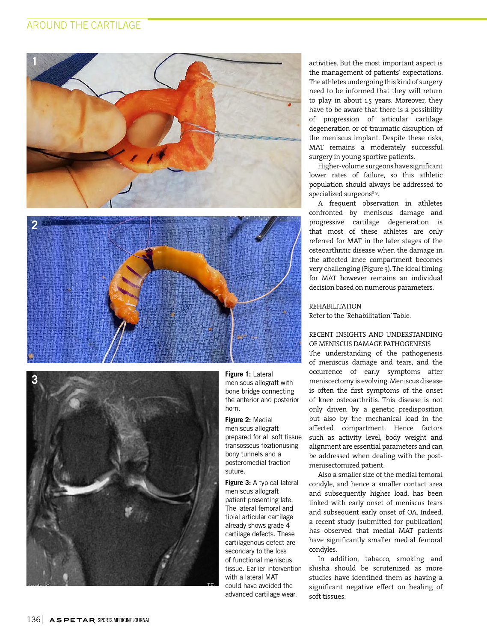# AROUND THE CARTILAGE







**Figure 1:** Lateral meniscus allograft with bone bridge connecting the anterior and posterior horn.

**Figure 2:** Medial meniscus allograft

prepared for all soft tissue transosseus fixationusing bony tunnels and a posteromedial traction suture.

**Figure 3:** A typical lateral meniscus allograft patient presenting late. The lateral femoral and tibial articular cartilage already shows grade 4 cartilage defects. These cartilagenous defect are secondary to the loss of functional meniscus tissue. Earlier intervention with a lateral MAT could have avoided the advanced cartilage wear.

activities. But the most important aspect is the management of patients' expectations. The athletes undergoing this kind of surgery need to be informed that they will return to play in about 1.5 years. Moreover, they have to be aware that there is a possibility of progression of articular cartilage degeneration or of traumatic disruption of the meniscus implant. Despite these risks, MAT remains a moderately successful surgery in young sportive patients.

Higher-volume surgeons have significant lower rates of failure, so this athletic population should always be addressed to specialized surgeons<sup>8-9</sup>.

A frequent observation in athletes confronted by meniscus damage and progressive cartilage degeneration is that most of these athletes are only referred for MAT in the later stages of the osteoarthritic disease when the damage in the affected knee compartment becomes very challenging (Figure 3). The ideal timing for MAT however remains an individual decision based on numerous parameters.

REHABILITATION Refer to the *'*Rehabilitation' Table.

# RECENT INSIGHTS AND UNDERSTANDING OF MENISCUS DAMAGE PATHOGENESIS

The understanding of the pathogenesis of meniscus damage and tears, and the occurrence of early symptoms after meniscectomy is evolving. Meniscus disease is often the first symptoms of the onset of knee osteoarthritis. This disease is not only driven by a genetic predisposition but also by the mechanical load in the affected compartment. Hence factors such as activity level, body weight and alignment are essential parameters and can be addressed when dealing with the postmenisectomized patient.

Also a smaller size of the medial femoral condyle, and hence a smaller contact area and subsequently higher load, has been linked with early onset of meniscus tears and subsequent early onset of OA. Indeed, a recent study (submitted for publication) has observed that medial MAT patients have significantly smaller medial femoral condyles.

In addition, tabacco, smoking and shisha should be scrutenized as more studies have identified them as having a significant negative effect on healing of soft tissues.